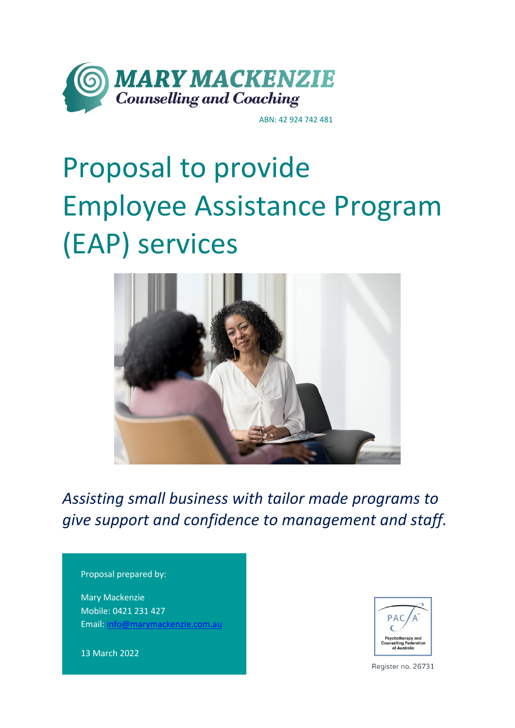

ABN: 42 924 742 481

# Proposal to provide Employee Assistance Program (EAP) services



*Assisting small business with tailor made programs to give support and confidence to management and staff.* 

#### Proposal prepared by:

Mary Mackenzie Mobile: 0421 231 427 Email: info@marymackenzie.com.au

13 March 2022



Register no. 26731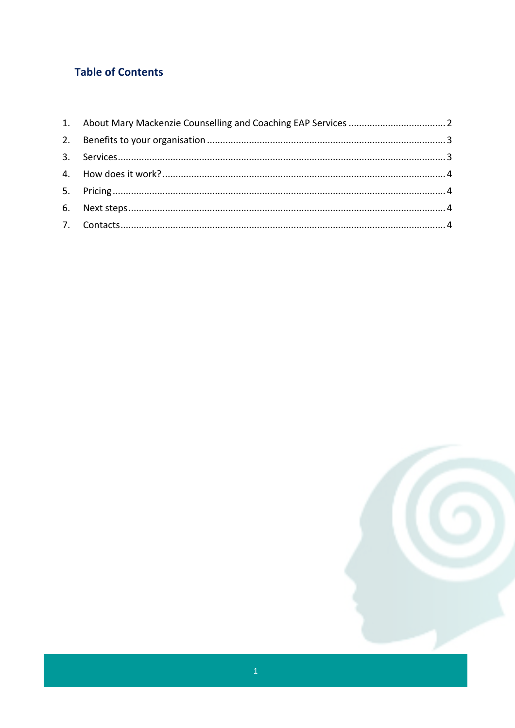## **Table of Contents**

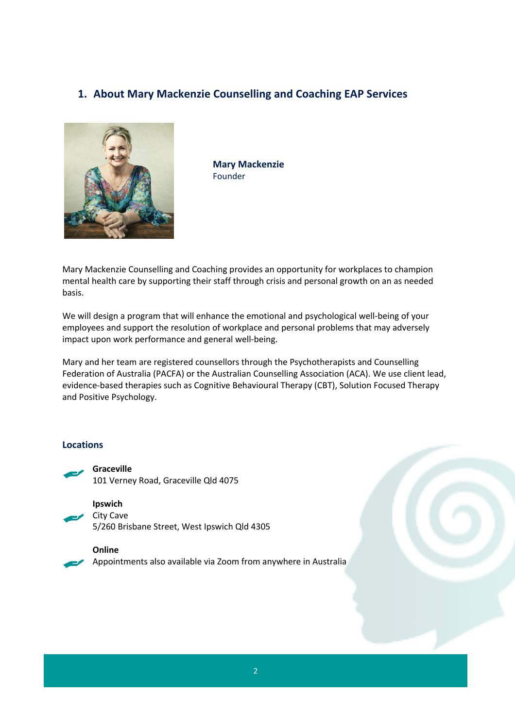## **1. About Mary Mackenzie Counselling and Coaching EAP Services**



**Mary Mackenzie** Founder

Mary Mackenzie Counselling and Coaching provides an opportunity for workplaces to champion mental health care by supporting their staff through crisis and personal growth on an as needed basis.

We will design a program that will enhance the emotional and psychological well-being of your employees and support the resolution of workplace and personal problems that may adversely impact upon work performance and general well-being.

Mary and her team are registered counsellors through the Psychotherapists and Counselling Federation of Australia (PACFA) or the Australian Counselling Association (ACA). We use client lead, evidence-based therapies such as Cognitive Behavioural Therapy (CBT), Solution Focused Therapy and Positive Psychology.

#### **Locations**



**Graceville** 101 Verney Road, Graceville Qld 4075



5/260 Brisbane Street, West Ipswich Qld 4305

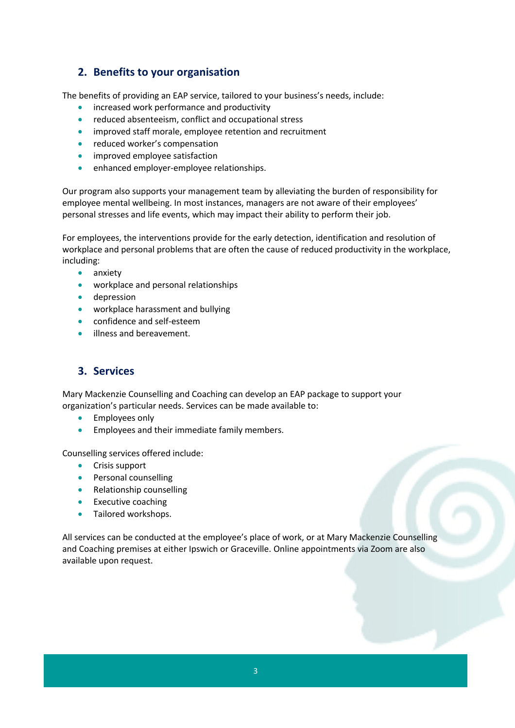## **2. Benefits to your organisation**

The benefits of providing an EAP service, tailored to your business's needs, include:

- increased work performance and productivity
- reduced absenteeism, conflict and occupational stress
- improved staff morale, employee retention and recruitment
- reduced worker's compensation
- improved employee satisfaction
- enhanced employer-employee relationships.

Our program also supports your management team by alleviating the burden of responsibility for employee mental wellbeing. In most instances, managers are not aware of their employees' personal stresses and life events, which may impact their ability to perform their job.

For employees, the interventions provide for the early detection, identification and resolution of workplace and personal problems that are often the cause of reduced productivity in the workplace, including:

- anxiety
- workplace and personal relationships
- depression
- workplace harassment and bullying
- confidence and self-esteem
- illness and bereavement.

## **3. Services**

Mary Mackenzie Counselling and Coaching can develop an EAP package to support your organization's particular needs. Services can be made available to:

- Employees only
- Employees and their immediate family members.

Counselling services offered include:

- Crisis support
- Personal counselling
- Relationship counselling
- Executive coaching
- Tailored workshops.

All services can be conducted at the employee's place of work, or at Mary Mackenzie Counselling and Coaching premises at either Ipswich or Graceville. Online appointments via Zoom are also available upon request.